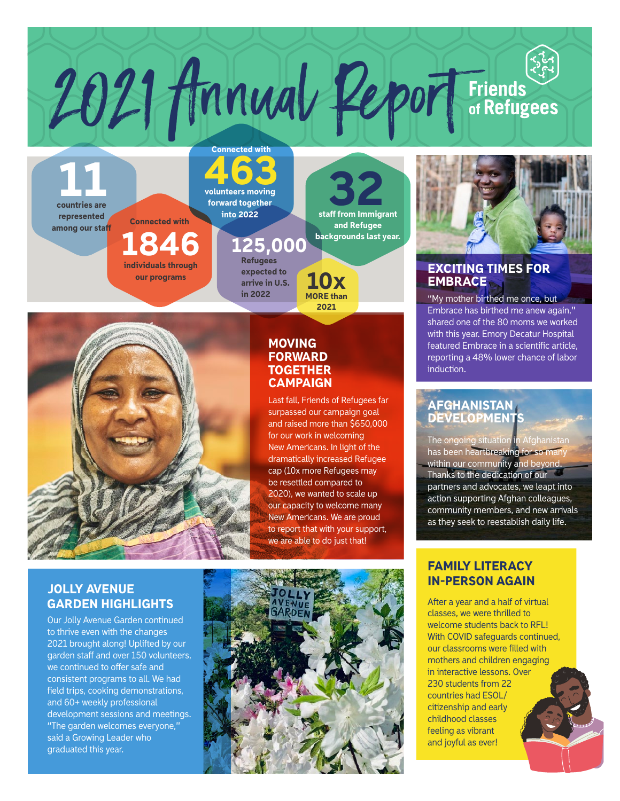## 463 volunteers moving Connected with

forward together into 2022

# 125,000

**Refugees** expected to arrive in U.S. in 2022



1846

individuals through our programs

Connected with

11 countries are

represented among our staff

#### **MOVING** FORWARD **TOGETHER CAMPAIGN**

2021 Annual Report Friends

SP<sub>staff</sub> from Immigrant

and Refugee backgrounds last year.

Last fall, Friends of Refugees far surpassed our campaign goal and raised more than \$650,000 for our work in welcoming New Americans. In light of the dramatically increased Refugee cap (10x more Refugees may be resettled compared to 2020), we wanted to scale up our capacity to welcome many New Americans. We are proud to report that with your support, we are able to do just that!

MORE than 2021

10x

#### JOLLY AVENUE GARDEN HIGHLIGHTS

Our Jolly Avenue Garden continued to thrive even with the changes 2021 brought along! Uplifted by our garden staff and over 150 volunteers, we continued to offer safe and consistent programs to all. We had field trips, cooking demonstrations, and 60+ weekly professional development sessions and meetings. "The garden welcomes everyone," said a Growing Leader who graduated this year.





#### EXCITING TIMES FOR **EMBRACE**

"My mother birthed me once, but Embrace has birthed me anew again," shared one of the 80 moms we worked with this year. Emory Decatur Hospital featured Embrace in a scientific article, reporting a 48% lower chance of labor induction.

#### AFGHANISTAN **DEVELOPMENTS**

The ongoing situation in Afghanistan has been heartbreaking for so many within our community and beyond. Thanks to the dedication of our partners and advocates, we leapt into action supporting Afghan colleagues, community members, and new arrivals as they seek to reestablish daily life.

#### FAMILY LITERACY IN-PERSON AGAIN

After a year and a half of virtual classes, we were thrilled to welcome students back to RFL! With COVID safeguards continued, our classrooms were filled with mothers and children engaging in interactive lessons. Over 230 students from 22 countries had ESOL/ citizenship and early childhood classes feeling as vibrant and joyful as ever!